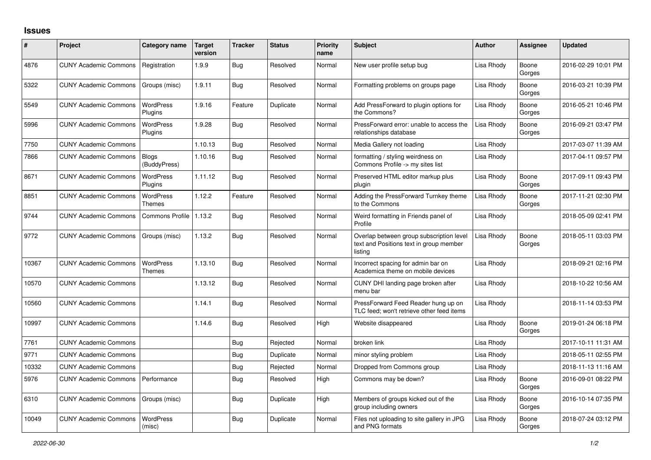## **Issues**

| ∦     | Project                      | Category name                     | Target<br>version | <b>Tracker</b> | <b>Status</b> | <b>Priority</b><br>name | <b>Subject</b>                                                                                 | <b>Author</b> | Assignee        | <b>Updated</b>      |
|-------|------------------------------|-----------------------------------|-------------------|----------------|---------------|-------------------------|------------------------------------------------------------------------------------------------|---------------|-----------------|---------------------|
| 4876  | <b>CUNY Academic Commons</b> | Registration                      | 1.9.9             | Bug            | Resolved      | Normal                  | New user profile setup bug                                                                     | Lisa Rhody    | Boone<br>Gorges | 2016-02-29 10:01 PM |
| 5322  | <b>CUNY Academic Commons</b> | Groups (misc)                     | 1.9.11            | Bug            | Resolved      | Normal                  | Formatting problems on groups page                                                             | Lisa Rhody    | Boone<br>Gorges | 2016-03-21 10:39 PM |
| 5549  | <b>CUNY Academic Commons</b> | <b>WordPress</b><br>Plugins       | 1.9.16            | Feature        | Duplicate     | Normal                  | Add PressForward to plugin options for<br>the Commons?                                         | Lisa Rhody    | Boone<br>Gorges | 2016-05-21 10:46 PM |
| 5996  | <b>CUNY Academic Commons</b> | <b>WordPress</b><br>Plugins       | 1.9.28            | Bug            | Resolved      | Normal                  | PressForward error: unable to access the<br>relationships database                             | Lisa Rhody    | Boone<br>Gorges | 2016-09-21 03:47 PM |
| 7750  | <b>CUNY Academic Commons</b> |                                   | 1.10.13           | Bug            | Resolved      | Normal                  | Media Gallery not loading                                                                      | Lisa Rhody    |                 | 2017-03-07 11:39 AM |
| 7866  | <b>CUNY Academic Commons</b> | Blogs<br>(BuddyPress)             | 1.10.16           | <b>Bug</b>     | Resolved      | Normal                  | formatting / styling weirdness on<br>Commons Profile -> my sites list                          | Lisa Rhody    |                 | 2017-04-11 09:57 PM |
| 8671  | <b>CUNY Academic Commons</b> | <b>WordPress</b><br>Plugins       | 1.11.12           | Bug            | Resolved      | Normal                  | Preserved HTML editor markup plus<br>plugin                                                    | Lisa Rhody    | Boone<br>Gorges | 2017-09-11 09:43 PM |
| 8851  | <b>CUNY Academic Commons</b> | <b>WordPress</b><br><b>Themes</b> | 1.12.2            | Feature        | Resolved      | Normal                  | Adding the PressForward Turnkey theme<br>to the Commons                                        | Lisa Rhody    | Boone<br>Gorges | 2017-11-21 02:30 PM |
| 9744  | <b>CUNY Academic Commons</b> | Commons Profile                   | 1.13.2            | Bug            | Resolved      | Normal                  | Weird formatting in Friends panel of<br>Profile                                                | Lisa Rhody    |                 | 2018-05-09 02:41 PM |
| 9772  | <b>CUNY Academic Commons</b> | Groups (misc)                     | 1.13.2            | Bug            | Resolved      | Normal                  | Overlap between group subscription level<br>text and Positions text in group member<br>listing | Lisa Rhody    | Boone<br>Gorges | 2018-05-11 03:03 PM |
| 10367 | <b>CUNY Academic Commons</b> | <b>WordPress</b><br><b>Themes</b> | 1.13.10           | Bug            | Resolved      | Normal                  | Incorrect spacing for admin bar on<br>Academica theme on mobile devices                        | Lisa Rhody    |                 | 2018-09-21 02:16 PM |
| 10570 | <b>CUNY Academic Commons</b> |                                   | 1.13.12           | Bug            | Resolved      | Normal                  | CUNY DHI landing page broken after<br>menu bar                                                 | Lisa Rhody    |                 | 2018-10-22 10:56 AM |
| 10560 | <b>CUNY Academic Commons</b> |                                   | 1.14.1            | <b>Bug</b>     | Resolved      | Normal                  | PressForward Feed Reader hung up on<br>TLC feed; won't retrieve other feed items               | Lisa Rhody    |                 | 2018-11-14 03:53 PM |
| 10997 | <b>CUNY Academic Commons</b> |                                   | 1.14.6            | <b>Bug</b>     | Resolved      | High                    | Website disappeared                                                                            | Lisa Rhody    | Boone<br>Gorges | 2019-01-24 06:18 PM |
| 7761  | <b>CUNY Academic Commons</b> |                                   |                   | <b>Bug</b>     | Rejected      | Normal                  | broken link                                                                                    | Lisa Rhody    |                 | 2017-10-11 11:31 AM |
| 9771  | <b>CUNY Academic Commons</b> |                                   |                   | Bug            | Duplicate     | Normal                  | minor styling problem                                                                          | Lisa Rhody    |                 | 2018-05-11 02:55 PM |
| 10332 | <b>CUNY Academic Commons</b> |                                   |                   | Bug            | Rejected      | Normal                  | Dropped from Commons group                                                                     | Lisa Rhody    |                 | 2018-11-13 11:16 AM |
| 5976  | <b>CUNY Academic Commons</b> | Performance                       |                   | Bug            | Resolved      | High                    | Commons may be down?                                                                           | Lisa Rhody    | Boone<br>Gorges | 2016-09-01 08:22 PM |
| 6310  | <b>CUNY Academic Commons</b> | Groups (misc)                     |                   | Bug            | Duplicate     | High                    | Members of groups kicked out of the<br>group including owners                                  | Lisa Rhody    | Boone<br>Gorges | 2016-10-14 07:35 PM |
| 10049 | <b>CUNY Academic Commons</b> | <b>WordPress</b><br>(misc)        |                   | Bug            | Duplicate     | Normal                  | Files not uploading to site gallery in JPG<br>and PNG formats                                  | Lisa Rhody    | Boone<br>Gorges | 2018-07-24 03:12 PM |